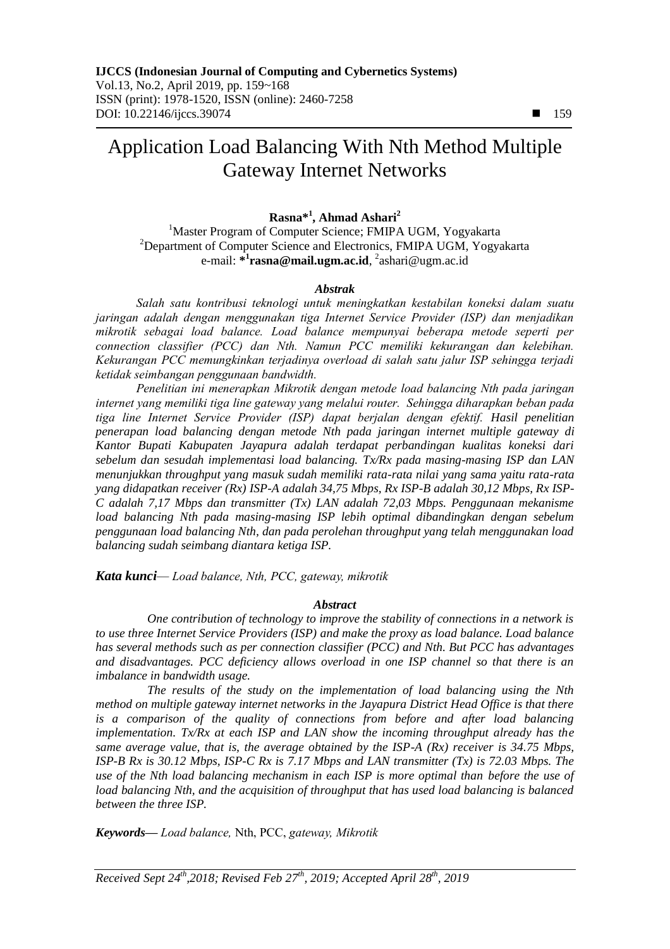# Application Load Balancing With Nth Method Multiple Gateway Internet Networks

## **Rasna\* 1 , Ahmad Ashari<sup>2</sup>**

<sup>1</sup>Master Program of Computer Science; FMIPA UGM, Yogyakarta <sup>2</sup>Department of Computer Science and Electronics, FMIPA UGM, Yogyakarta e-mail: **\* 1 rasna@mail.ugm.ac.id**, 2 ashari@ugm.ac.id

#### *Abstrak*

*Salah satu kontribusi teknologi untuk meningkatkan kestabilan koneksi dalam suatu jaringan adalah dengan menggunakan tiga Internet Service Provider (ISP) dan menjadikan mikrotik sebagai load balance. Load balance mempunyai beberapa metode seperti per connection classifier (PCC) dan Nth. Namun PCC memiliki kekurangan dan kelebihan. Kekurangan PCC memungkinkan terjadinya overload di salah satu jalur ISP sehingga terjadi ketidak seimbangan penggunaan bandwidth.* 

*Penelitian ini menerapkan Mikrotik dengan metode load balancing Nth pada jaringan internet yang memiliki tiga line gateway yang melalui router. Sehingga diharapkan beban pada tiga line Internet Service Provider (ISP) dapat berjalan dengan efektif. Hasil penelitian penerapan load balancing dengan metode Nth pada jaringan internet multiple gateway di Kantor Bupati Kabupaten Jayapura adalah terdapat perbandingan kualitas koneksi dari sebelum dan sesudah implementasi load balancing. Tx/Rx pada masing-masing ISP dan LAN menunjukkan throughput yang masuk sudah memiliki rata-rata nilai yang sama yaitu rata-rata yang didapatkan receiver (Rx) ISP-A adalah 34,75 Mbps, Rx ISP-B adalah 30,12 Mbps, Rx ISP-C adalah 7,17 Mbps dan transmitter (Tx) LAN adalah 72,03 Mbps. Penggunaan mekanisme load balancing Nth pada masing-masing ISP lebih optimal dibandingkan dengan sebelum penggunaan load balancing Nth, dan pada perolehan throughput yang telah menggunakan load balancing sudah seimbang diantara ketiga ISP.*

*Kata kunci— Load balance, Nth, PCC, gateway, mikrotik*

#### *Abstract*

*One contribution of technology to improve the stability of connections in a network is to use three Internet Service Providers (ISP) and make the proxy as load balance. Load balance has several methods such as per connection classifier (PCC) and Nth. But PCC has advantages and disadvantages. PCC deficiency allows overload in one ISP channel so that there is an imbalance in bandwidth usage.*

*The results of the study on the implementation of load balancing using the Nth method on multiple gateway internet networks in the Jayapura District Head Office is that there is a comparison of the quality of connections from before and after load balancing implementation. Tx/Rx at each ISP and LAN show the incoming throughput already has the same average value, that is, the average obtained by the ISP-A (Rx) receiver is 34.75 Mbps, ISP-B Rx is 30.12 Mbps, ISP-C Rx is 7.17 Mbps and LAN transmitter (Tx) is 72.03 Mbps. The use of the Nth load balancing mechanism in each ISP is more optimal than before the use of load balancing Nth, and the acquisition of throughput that has used load balancing is balanced between the three ISP.*

*Keywords— Load balance,* Nth, PCC, *gateway, Mikrotik*

*Received Sept 24th,2018; Revised Feb 27th, 2019; Accepted April 28th, 2019*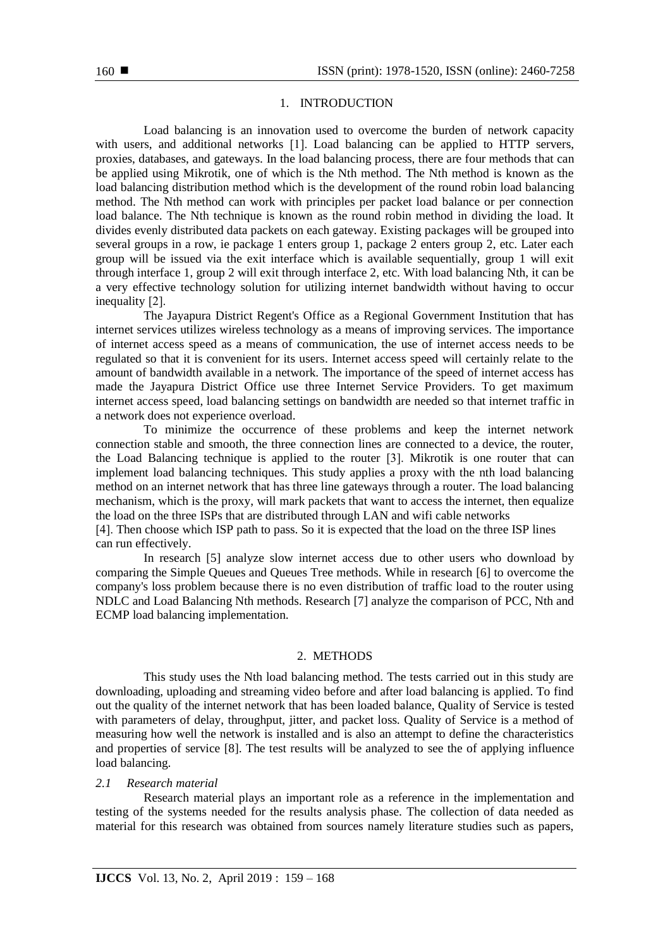#### 1. INTRODUCTION

Load balancing is an innovation used to overcome the burden of network capacity with users, and additional networks [1]. Load balancing can be applied to HTTP servers, proxies, databases, and gateways. In the load balancing process, there are four methods that can be applied using Mikrotik, one of which is the Nth method. The Nth method is known as the load balancing distribution method which is the development of the round robin load balancing method. The Nth method can work with principles per packet load balance or per connection load balance. The Nth technique is known as the round robin method in dividing the load. It divides evenly distributed data packets on each gateway. Existing packages will be grouped into several groups in a row, ie package 1 enters group 1, package 2 enters group 2, etc. Later each group will be issued via the exit interface which is available sequentially, group 1 will exit through interface 1, group 2 will exit through interface 2, etc. With load balancing Nth, it can be a very effective technology solution for utilizing internet bandwidth without having to occur inequality [2].

The Jayapura District Regent's Office as a Regional Government Institution that has internet services utilizes wireless technology as a means of improving services. The importance of internet access speed as a means of communication, the use of internet access needs to be regulated so that it is convenient for its users. Internet access speed will certainly relate to the amount of bandwidth available in a network. The importance of the speed of internet access has made the Jayapura District Office use three Internet Service Providers. To get maximum internet access speed, load balancing settings on bandwidth are needed so that internet traffic in a network does not experience overload.

To minimize the occurrence of these problems and keep the internet network connection stable and smooth, the three connection lines are connected to a device, the router, the Load Balancing technique is applied to the router [3]. Mikrotik is one router that can implement load balancing techniques. This study applies a proxy with the nth load balancing method on an internet network that has three line gateways through a router. The load balancing mechanism, which is the proxy, will mark packets that want to access the internet, then equalize the load on the three ISPs that are distributed through LAN and wifi cable networks

[4]. Then choose which ISP path to pass. So it is expected that the load on the three ISP lines can run effectively.

In research [5] analyze slow internet access due to other users who download by comparing the Simple Queues and Queues Tree methods. While in research [6] to overcome the company's loss problem because there is no even distribution of traffic load to the router using NDLC and Load Balancing Nth methods. Research [7] analyze the comparison of PCC, Nth and ECMP load balancing implementation.

#### 2. METHODS

This study uses the Nth load balancing method. The tests carried out in this study are downloading, uploading and streaming video before and after load balancing is applied. To find out the quality of the internet network that has been loaded balance, Quality of Service is tested with parameters of delay, throughput, jitter, and packet loss. Quality of Service is a method of measuring how well the network is installed and is also an attempt to define the characteristics and properties of service [8]. The test results will be analyzed to see the of applying influence load balancing.

#### *2.1**Research material*

Research material plays an important role as a reference in the implementation and testing of the systems needed for the results analysis phase. The collection of data needed as material for this research was obtained from sources namely literature studies such as papers,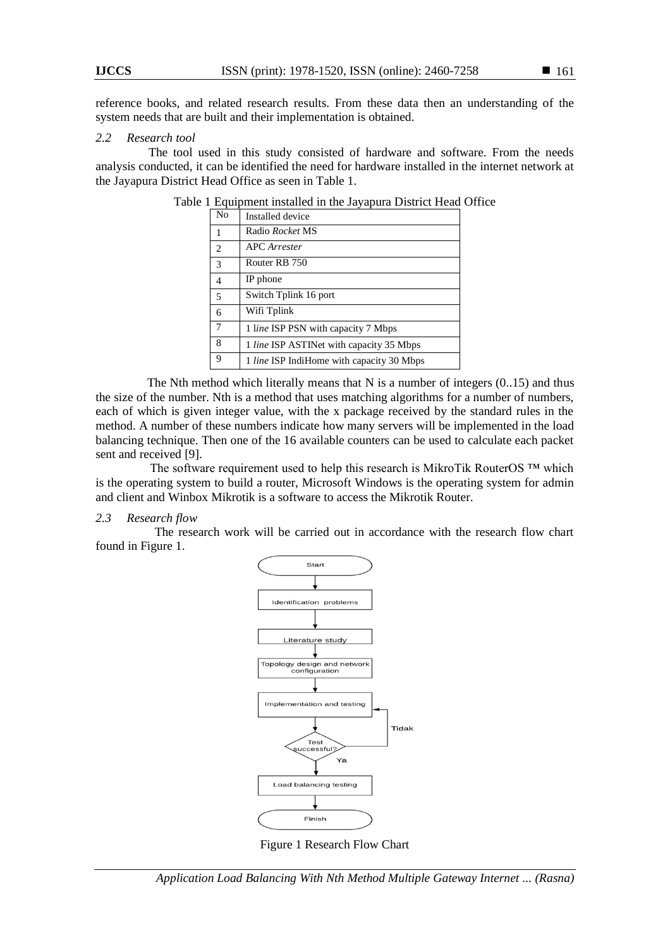reference books, and related research results. From these data then an understanding of the system needs that are built and their implementation is obtained.

#### *2.2 Research tool*

 The tool used in this study consisted of hardware and software. From the needs analysis conducted, it can be identified the need for hardware installed in the internet network at the Jayapura District Head Office as seen in Table 1.

| N <sub>0</sub>  | Installed device                          |
|-----------------|-------------------------------------------|
| $\mathbf{1}$    | Radio <i>Rocket</i> MS                    |
| 2               | <b>APC</b> Arrester                       |
|                 | Router RB 750                             |
| $\overline{4}$  | IP phone                                  |
| $\overline{5}$  | Switch Tplink 16 port                     |
| 6               | Wifi Tplink                               |
| $7\phantom{.0}$ | 1 line ISP PSN with capacity 7 Mbps       |
| 8               | 1 line ISP ASTINet with capacity 35 Mbps  |
| 9               | 1 line ISP IndiHome with capacity 30 Mbps |

|  |  |  |  |  |  |  | Table 1 Equipment installed in the Jayapura District Head Office |  |  |  |
|--|--|--|--|--|--|--|------------------------------------------------------------------|--|--|--|
|--|--|--|--|--|--|--|------------------------------------------------------------------|--|--|--|

The Nth method which literally means that N is a number of integers  $(0.15)$  and thus the size of the number. Nth is a method that uses matching algorithms for a number of numbers, each of which is given integer value, with the x package received by the standard rules in the method. A number of these numbers indicate how many servers will be implemented in the load balancing technique. Then one of the 16 available counters can be used to calculate each packet sent and received [9].

The software requirement used to help this research is MikroTik RouterOS ™ which is the operating system to build a router, Microsoft Windows is the operating system for admin and client and Winbox Mikrotik is a software to access the Mikrotik Router.

#### *2.3 Research flow*

 The research work will be carried out in accordance with the research flow chart found in Figure 1.



Figure 1 Research Flow Chart

*Application Load Balancing With Nth Method Multiple Gateway Internet ... (Rasna)*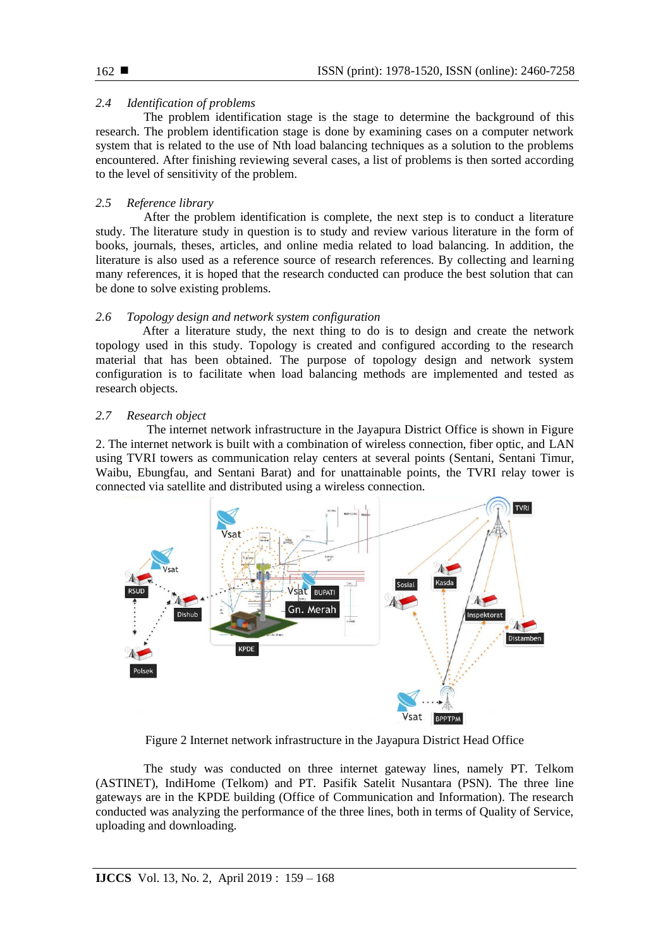# *2.4 Identification of problems*

The problem identification stage is the stage to determine the background of this research. The problem identification stage is done by examining cases on a computer network system that is related to the use of Nth load balancing techniques as a solution to the problems encountered. After finishing reviewing several cases, a list of problems is then sorted according to the level of sensitivity of the problem.

# *2.5 Reference library*

After the problem identification is complete, the next step is to conduct a literature study. The literature study in question is to study and review various literature in the form of books, journals, theses, articles, and online media related to load balancing. In addition, the literature is also used as a reference source of research references. By collecting and learning many references, it is hoped that the research conducted can produce the best solution that can be done to solve existing problems.

# *2.6 Topology design and network system configuration*

 After a literature study, the next thing to do is to design and create the network topology used in this study. Topology is created and configured according to the research material that has been obtained. The purpose of topology design and network system configuration is to facilitate when load balancing methods are implemented and tested as research objects.

# *2.7 Research object*

The internet network infrastructure in the Jayapura District Office is shown in Figure 2. The internet network is built with a combination of wireless connection, fiber optic, and LAN using TVRI towers as communication relay centers at several points (Sentani, Sentani Timur, Waibu, Ebungfau, and Sentani Barat) and for unattainable points, the TVRI relay tower is connected via satellite and distributed using a wireless connection.



Figure 2 Internet network infrastructure in the Jayapura District Head Office

The study was conducted on three internet gateway lines, namely PT. Telkom (ASTINET), IndiHome (Telkom) and PT. Pasifik Satelit Nusantara (PSN). The three line gateways are in the KPDE building (Office of Communication and Information). The research conducted was analyzing the performance of the three lines, both in terms of Quality of Service, uploading and downloading.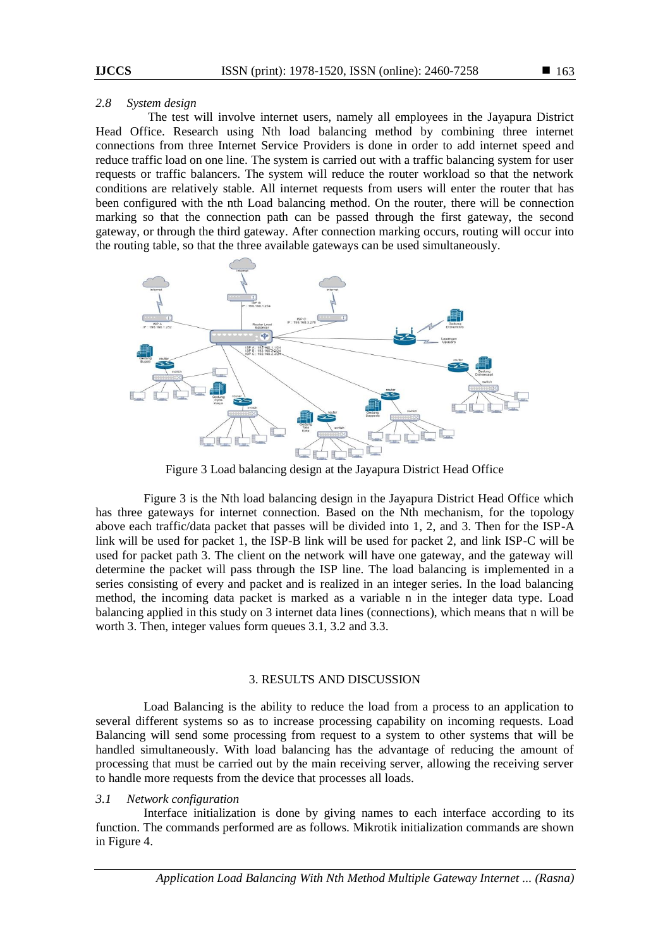#### *2.8 System design*

 The test will involve internet users, namely all employees in the Jayapura District Head Office. Research using Nth load balancing method by combining three internet connections from three Internet Service Providers is done in order to add internet speed and reduce traffic load on one line. The system is carried out with a traffic balancing system for user requests or traffic balancers. The system will reduce the router workload so that the network conditions are relatively stable. All internet requests from users will enter the router that has been configured with the nth Load balancing method. On the router, there will be connection marking so that the connection path can be passed through the first gateway, the second gateway, or through the third gateway. After connection marking occurs, routing will occur into the routing table, so that the three available gateways can be used simultaneously.



Figure 3 Load balancing design at the Jayapura District Head Office

Figure 3 is the Nth load balancing design in the Jayapura District Head Office which has three gateways for internet connection. Based on the Nth mechanism, for the topology above each traffic/data packet that passes will be divided into 1, 2, and 3. Then for the ISP-A link will be used for packet 1, the ISP-B link will be used for packet 2, and link ISP-C will be used for packet path 3. The client on the network will have one gateway, and the gateway will determine the packet will pass through the ISP line. The load balancing is implemented in a series consisting of every and packet and is realized in an integer series. In the load balancing method, the incoming data packet is marked as a variable n in the integer data type. Load balancing applied in this study on 3 internet data lines (connections), which means that n will be worth 3. Then, integer values form queues 3.1, 3.2 and 3.3.

## 3. RESULTS AND DISCUSSION

Load Balancing is the ability to reduce the load from a process to an application to several different systems so as to increase processing capability on incoming requests. Load Balancing will send some processing from request to a system to other systems that will be handled simultaneously. With load balancing has the advantage of reducing the amount of processing that must be carried out by the main receiving server, allowing the receiving server to handle more requests from the device that processes all loads.

## *3.1 Network configuration*

Interface initialization is done by giving names to each interface according to its function. The commands performed are as follows. Mikrotik initialization commands are shown in Figure 4.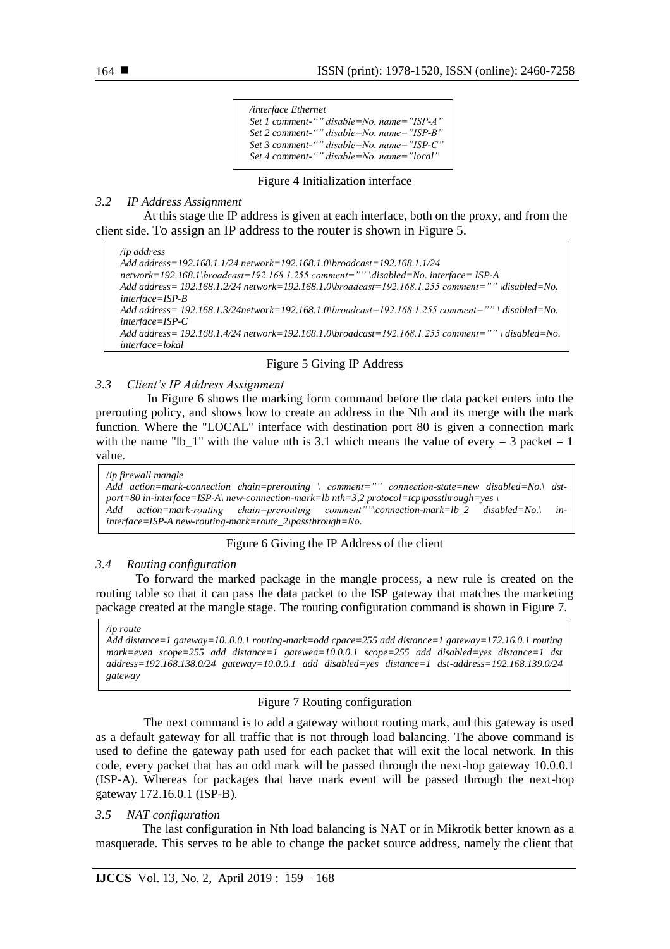| <i>linterface Ethernet</i>                |
|-------------------------------------------|
| Set 1 comment-"" disable=No. name="ISP-A" |
| Set 2 comment-"" disable=No. name="ISP-B" |
| Set 3 comment-"" disable=No. name="ISP-C" |
| Set 4 comment-"" disable=No. name="local" |

Figure 4 Initialization interface

## *3.2 IP Address Assignment*

At this stage the IP address is given at each interface, both on the proxy, and from the client side. To assign an IP address to the router is shown in Figure 5.

*/ip address Add address=192.168.1.1/24 network=192.168.1.0\broadcast=192.168.1.1/24 network=192.168.1\broadcast=192.168.1.255 comment="" \disabled=No. interface= ISP-A Add address= 192.168.1.2/24 network=192.168.1.0\broadcast=192.168.1.255 comment="" \disabled=No. interface=ISP-B Add address= 192.168.1.3/24network=192.168.1.0\broadcast=192.168.1.255 comment="" \ disabled=No. interface=ISP-C Add address= 192.168.1.4/24 network=192.168.1.0\broadcast=192.168.1.255 comment="" \ disabled=No. interface=lokal*

## Figure 5 Giving IP Address

## *3.3 Client's IP Address Assignment*

In Figure 6 shows the marking form command before the data packet enters into the prerouting policy, and shows how to create an address in the Nth and its merge with the mark function. Where the "LOCAL" interface with destination port 80 is given a connection mark with the name "lb 1" with the value nth is 3.1 which means the value of every  $= 3$  packet  $= 1$ value.

```
/ip firewall mangle
Add action=mark-connection chain=prerouting \ comment="" connection-state=new disabled=No.\ dst-
port=80 in-interface=ISP-A\ new-connection-mark=lb nth=3,2 protocol=tcp\passthrough=yes \
Add action=mark-routing chain=prerouting comment""\connection-mark=lb_2 disabled=No.\ in-
interface=ISP-A new-routing-mark=route_2\passthrough=No.
```
## Figure 6 Giving the IP Address of the client

## *3.4 Routing configuration*

To forward the marked package in the mangle process, a new rule is created on the routing table so that it can pass the data packet to the ISP gateway that matches the marketing package created at the mangle stage. The routing configuration command is shown in Figure 7.

#### */ip route*

*Add distance=1 gateway=10..0.0.1 routing-mark=odd cpace=255 add distance=1 gateway=172.16.0.1 routing mark=even scope=255 add distance=1 gatewea=10.0.0.1 scope=255 add disabled=yes distance=1 dst address=192.168.138.0/24 gateway=10.0.0.1 add disabled=yes distance=1 dst-address=192.168.139.0/24 gateway*

## Figure 7 Routing configuration

The next command is to add a gateway without routing mark, and this gateway is used as a default gateway for all traffic that is not through load balancing. The above command is used to define the gateway path used for each packet that will exit the local network. In this code, every packet that has an odd mark will be passed through the next-hop gateway 10.0.0.1 (ISP-A). Whereas for packages that have mark event will be passed through the next-hop gateway 172.16.0.1 (ISP-B).

## *3.5 NAT configuration*

 The last configuration in Nth load balancing is NAT or in Mikrotik better known as a masquerade. This serves to be able to change the packet source address, namely the client that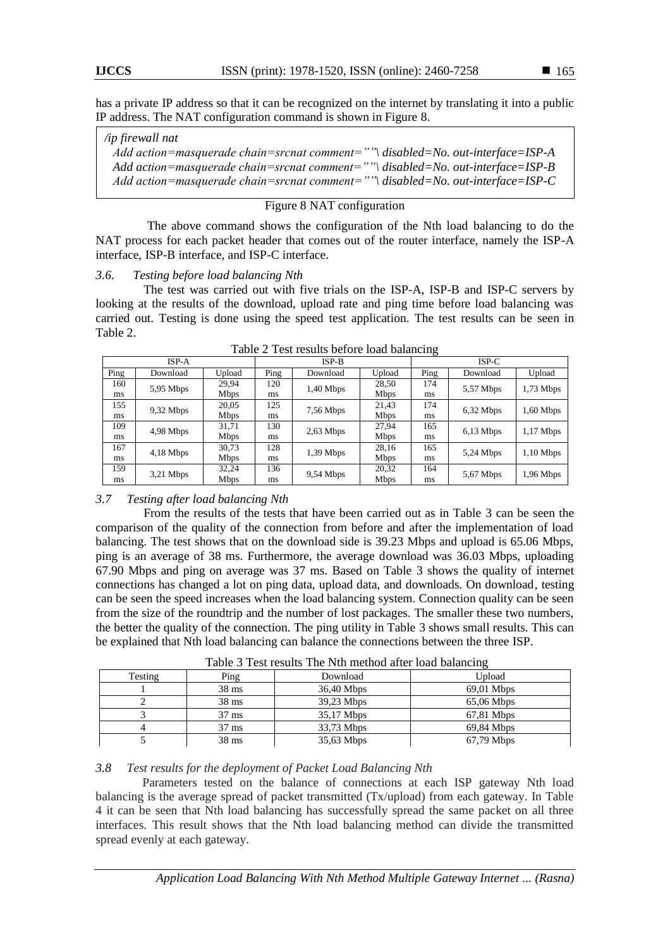has a private IP address so that it can be recognized on the internet by translating it into a public IP address. The NAT configuration command is shown in Figure 8.

# */ip firewall nat Add action=masquerade chain=srcnat comment=""\ disabled=No. out-interface=ISP-A*

*Add action=masquerade chain=srcnat comment=""\ disabled=No. out-interface=ISP-B Add action=masquerade chain=srcnat comment=""\ disabled=No. out-interface=ISP-C*

# Figure 8 NAT configuration

The above command shows the configuration of the Nth load balancing to do the NAT process for each packet header that comes out of the router interface, namely the ISP-A interface, ISP-B interface, and ISP-C interface.

# *3.6. Testing before load balancing Nth*

The test was carried out with five trials on the ISP-A, ISP-B and ISP-C servers by looking at the results of the download, upload rate and ping time before load balancing was carried out. Testing is done using the speed test application. The test results can be seen in Table 2.

| ISP-A |             |             | $ISP-B$ |             |             | $ISP-C$ |             |             |
|-------|-------------|-------------|---------|-------------|-------------|---------|-------------|-------------|
| Ping  | Download    | Upload      | Ping    | Download    | Upload      | Ping    | Download    | Upload      |
| 160   | $5,95$ Mbps | 29.94       | 120     | $1,40$ Mbps | 28,50       | 174     | 5,57 Mbps   | $1,73$ Mbps |
| ms    |             | <b>Mbps</b> | ms      |             | <b>Mbps</b> | ms      |             |             |
| 155   | $9,32$ Mbps | 20,05       | 125     | 7,56 Mbps   | 21,43       | 174     | $6,32$ Mbps | $1,60$ Mbps |
| ms    |             | <b>Mbps</b> | ms      |             | Mbps        | ms      |             |             |
| 109   | $4.98$ Mbps | 31.71       | 130     | $2,63$ Mbps | 27,94       | 165     | $6,13$ Mbps | $1,17$ Mbps |
| ms    |             | <b>Mbps</b> | ms      |             | <b>Mbps</b> | ms      |             |             |
| 167   | $4,18$ Mbps | 30,73       | 128     | $1,39$ Mbps | 28,16       | 165     | $5,24$ Mbps | $1,10$ Mbps |
| ms    |             | <b>Mbps</b> | ms      |             | <b>Mbps</b> | ms      |             |             |
| 159   | $3,21$ Mbps | 32,24       | 136     | $9,54$ Mbps | 20,32       | 164     | $5,67$ Mbps | $1,96$ Mbps |
| ms    |             | <b>Mbps</b> | ms      |             | <b>Mbps</b> | ms      |             |             |

Table 2 Test results before load balancing

# *3.7 Testing after load balancing Nth*

From the results of the tests that have been carried out as in Table 3 can be seen the comparison of the quality of the connection from before and after the implementation of load balancing. The test shows that on the download side is 39.23 Mbps and upload is 65.06 Mbps, ping is an average of 38 ms. Furthermore, the average download was 36.03 Mbps, uploading 67.90 Mbps and ping on average was 37 ms. Based on Table 3 shows the quality of internet connections has changed a lot on ping data, upload data, and downloads. On download, testing can be seen the speed increases when the load balancing system. Connection quality can be seen from the size of the roundtrip and the number of lost packages. The smaller these two numbers, the better the quality of the connection. The ping utility in Table 3 shows small results. This can be explained that Nth load balancing can balance the connections between the three ISP.

| $10000$ $\sigma$ $1000$ $\sigma$ $1000$ $\sigma$ $1000$ $\sigma$ $1000$ $\sigma$ $1000$ $\sigma$ $0000$ |                 |            |              |  |  |  |  |  |  |
|---------------------------------------------------------------------------------------------------------|-----------------|------------|--------------|--|--|--|--|--|--|
| Testing                                                                                                 | Ping            | Download   | Upload       |  |  |  |  |  |  |
|                                                                                                         | $38 \text{ ms}$ | 36,40 Mbps | $69.01$ Mbps |  |  |  |  |  |  |
|                                                                                                         | $38 \text{ ms}$ | 39,23 Mbps | $65,06$ Mbps |  |  |  |  |  |  |
|                                                                                                         | $37 \text{ ms}$ | 35,17 Mbps | 67,81 Mbps   |  |  |  |  |  |  |
|                                                                                                         | $37 \text{ ms}$ | 33,73 Mbps | 69,84 Mbps   |  |  |  |  |  |  |
|                                                                                                         | $38 \text{ ms}$ | 35,63 Mbps | 67,79 Mbps   |  |  |  |  |  |  |

Table 3 Test results The Nth method after load balancing

# *3.8 Test results for the deployment of Packet Load Balancing Nth*

 Parameters tested on the balance of connections at each ISP gateway Nth load balancing is the average spread of packet transmitted (Tx/upload) from each gateway. In Table 4 it can be seen that Nth load balancing has successfully spread the same packet on all three interfaces. This result shows that the Nth load balancing method can divide the transmitted spread evenly at each gateway.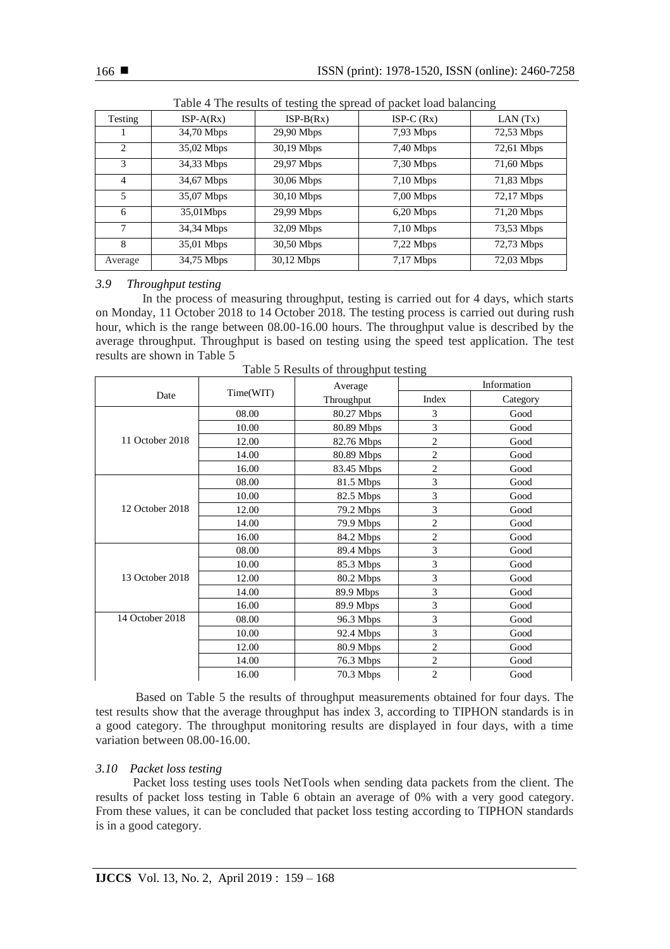| Tuble 1 The results of testing the spread of packet foud building |             |              |             |              |  |  |  |  |
|-------------------------------------------------------------------|-------------|--------------|-------------|--------------|--|--|--|--|
| Testing                                                           | $ISP-A(Rx)$ | $ISP-B(Rx)$  | $ISP-C(Rx)$ | LAN(Tx)      |  |  |  |  |
|                                                                   | 34,70 Mbps  | $29,90$ Mbps | $7,93$ Mbps | $72,53$ Mbps |  |  |  |  |
| $\mathfrak{D}$                                                    | 35,02 Mbps  | 30,19 Mbps   | $7,40$ Mbps | $72,61$ Mbps |  |  |  |  |
| 3                                                                 | 34,33 Mbps  | 29,97 Mbps   | $7,30$ Mbps | 71,60 Mbps   |  |  |  |  |
| $\overline{4}$                                                    | 34,67 Mbps  | 30,06 Mbps   | $7,10$ Mbps | 71,83 Mbps   |  |  |  |  |
| 5                                                                 | 35,07 Mbps  | 30,10 Mbps   | $7,00$ Mbps | 72,17 Mbps   |  |  |  |  |
| 6                                                                 | 35,01Mbps   | 29,99 Mbps   | $6,20$ Mbps | 71,20 Mbps   |  |  |  |  |
| 7                                                                 | 34,34 Mbps  | 32,09 Mbps   | $7,10$ Mbps | 73,53 Mbps   |  |  |  |  |
| 8                                                                 | 35,01 Mbps  | 30,50 Mbps   | $7,22$ Mbps | 72,73 Mbps   |  |  |  |  |
| Average                                                           | 34,75 Mbps  | 30,12 Mbps   | $7,17$ Mbps | 72,03 Mbps   |  |  |  |  |

Table 4 The results of testing the spread of packet load balancing

## *3.9 Throughput testing*

 In the process of measuring throughput, testing is carried out for 4 days, which starts on Monday, 11 October 2018 to 14 October 2018. The testing process is carried out during rush hour, which is the range between 08.00-16.00 hours. The throughput value is described by the average throughput. Throughput is based on testing using the speed test application. The test results are shown in Table 5

|                 |           | Average    | Information    |          |  |  |
|-----------------|-----------|------------|----------------|----------|--|--|
| Date            | Time(WIT) | Throughput | Index          | Category |  |  |
|                 | 08.00     | 80.27 Mbps | 3              | Good     |  |  |
|                 | 10.00     | 80.89 Mbps | 3              | Good     |  |  |
| 11 October 2018 | 12.00     | 82.76 Mbps | $\overline{c}$ | Good     |  |  |
|                 | 14.00     | 80.89 Mbps | $\overline{c}$ | Good     |  |  |
|                 | 16.00     | 83.45 Mbps | $\overline{c}$ | Good     |  |  |
|                 | 08.00     | 81.5 Mbps  | 3              | Good     |  |  |
|                 | 10.00     | 82.5 Mbps  | 3              | Good     |  |  |
| 12 October 2018 | 12.00     | 79.2 Mbps  | 3              | Good     |  |  |
|                 | 14.00     | 79.9 Mbps  | $\overline{c}$ | Good     |  |  |
|                 | 16.00     | 84.2 Mbps  | $\overline{c}$ | Good     |  |  |
|                 | 08.00     | 89.4 Mbps  | 3              | Good     |  |  |
|                 | 10.00     | 85.3 Mbps  | 3              | Good     |  |  |
| 13 October 2018 | 12.00     | 80.2 Mbps  | 3              | Good     |  |  |
|                 | 14.00     | 89.9 Mbps  | 3              | Good     |  |  |
|                 | 16.00     | 89.9 Mbps  | 3              | Good     |  |  |
| 14 October 2018 | 08.00     | 96.3 Mbps  | 3              | Good     |  |  |
|                 | 10.00     | 92.4 Mbps  | 3              | Good     |  |  |
|                 | 12.00     | 80.9 Mbps  | $\overline{2}$ | Good     |  |  |
|                 | 14.00     | 76.3 Mbps  | $\overline{c}$ | Good     |  |  |
|                 | 16.00     | 70.3 Mbps  | $\overline{c}$ | Good     |  |  |

Table 5 Results of throughput testing

Based on Table 5 the results of throughput measurements obtained for four days. The test results show that the average throughput has index 3, according to TIPHON standards is in a good category. The throughput monitoring results are displayed in four days, with a time variation between 08.00-16.00.

# *3.10 Packet loss testing*

 Packet loss testing uses tools NetTools when sending data packets from the client. The results of packet loss testing in Table 6 obtain an average of 0% with a very good category. From these values, it can be concluded that packet loss testing according to TIPHON standards is in a good category.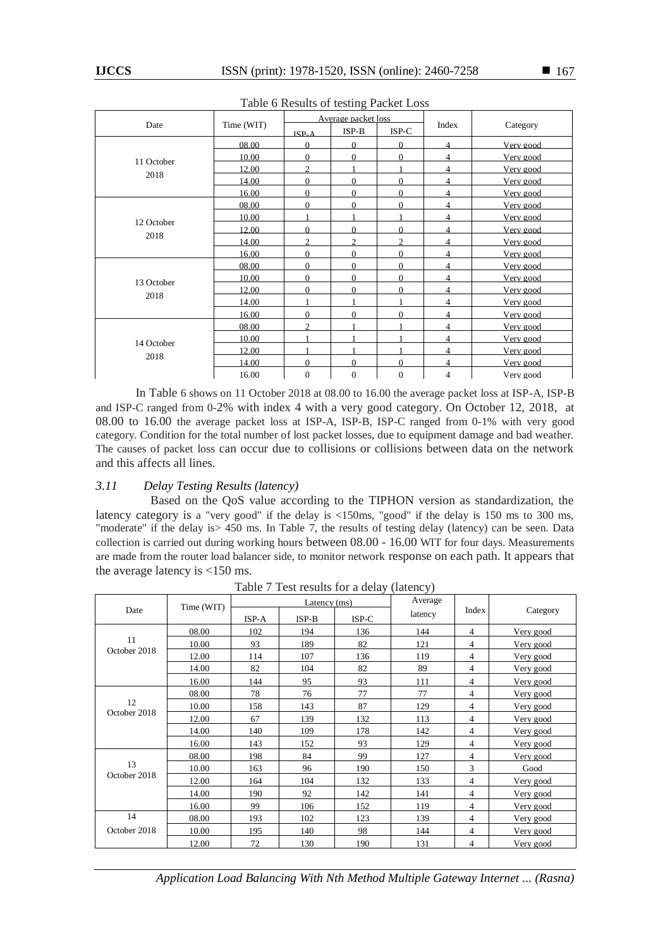| Table of Results of testing I acket Loss |            |              |                     |                |                |           |  |  |
|------------------------------------------|------------|--------------|---------------------|----------------|----------------|-----------|--|--|
| Date                                     | Time (WIT) |              | Average packet loss |                | Index          |           |  |  |
|                                          |            | $ISP_4$      | $ISP-B$             | ISP-C          |                | Category  |  |  |
|                                          | 08.00      | $\Omega$     | $\Omega$            | $\Omega$       | 4              | Very good |  |  |
| 11 October                               | 10.00      | $\Omega$     | $\Omega$            | $\Omega$       | 4              | Very good |  |  |
|                                          | 12.00      | C            |                     |                | 4              | Very good |  |  |
| 2018                                     | 14.00      | $\Omega$     | $\Omega$            | $\Omega$       | 4              | Very good |  |  |
|                                          | 16.00      | $\Omega$     | $\Omega$            | $\Omega$       | 4              | Very good |  |  |
|                                          | 08.00      | $\Omega$     | $\Omega$            | 0              | 4              | Very good |  |  |
| 12 October                               | 10.00      |              |                     |                | 4              | Very good |  |  |
|                                          | 12.00      | $\Omega$     | $\Omega$            | $\Omega$       | 4              | Very good |  |  |
| 2018                                     | 14.00      | C            | $\mathfrak{D}$      | $\mathfrak{D}$ | 4              | Very good |  |  |
|                                          | 16.00      | $\Omega$     | $\Omega$            | $\Omega$       | 4              | Very good |  |  |
|                                          | 08.00      | $\Omega$     | $\Omega$            | $\Omega$       | 4              | Very good |  |  |
| 13 October                               | 10.00      | $\Omega$     | $\Omega$            | $\Omega$       | 4              | Very good |  |  |
|                                          | 12.00      | $\Omega$     | $\Omega$            | $\Omega$       | 4              | Very good |  |  |
| 2018                                     | 14.00      |              |                     |                | $\overline{4}$ | Very good |  |  |
|                                          | 16.00      | $\Omega$     | $\Omega$            | $\Omega$       | 4              | Very good |  |  |
|                                          | 08.00      | C            |                     |                | 4              | Very good |  |  |
| 14 October                               | 10.00      |              |                     |                | 4              | Very good |  |  |
|                                          | 12.00      |              |                     |                | 4              | Very good |  |  |
| 2018                                     | 14.00      | $\Omega$     | $\Omega$            | $\Omega$       | 4              | Very good |  |  |
|                                          | 16.00      | $\mathbf{0}$ | $\theta$            | $\overline{0}$ | 4              | Very good |  |  |

Table 6 Results of testing Packet Loss

In Table 6 shows on 11 October 2018 at 08.00 to 16.00 the average packet loss at ISP-A, ISP-B and ISP-C ranged from 0-2% with index 4 with a very good category. On October 12, 2018, at 08.00 to 16.00 the average packet loss at ISP-A, ISP-B, ISP-C ranged from 0-1% with very good category. Condition for the total number of lost packet losses, due to equipment damage and bad weather. The causes of packet loss can occur due to collisions or collisions between data on the network and this affects all lines.

## *3.11 Delay Testing Results (latency)*

Based on the QoS value according to the TIPHON version as standardization, the latency category is a "very good" if the delay is <150ms, "good" if the delay is 150 ms to 300 ms, "moderate" if the delay is > 450 ms. In Table 7, the results of testing delay (latency) can be seen. Data collection is carried out during working hours between 08.00 - 16.00 WIT for four days. Measurements are made from the router load balancer side, to monitor network response on each path. It appears that the average latency is <150 ms.

|                    | Time (WIT) | Latency (ms) |         |         | JI<br>Average |                |           |
|--------------------|------------|--------------|---------|---------|---------------|----------------|-----------|
| Date               |            | ISP-A        | $ISP-B$ | $ISP-C$ | latency       | Index          | Category  |
|                    | 08.00      | 102          | 194     | 136     | 144           | $\overline{4}$ | Very good |
| 11<br>October 2018 | 10.00      | 93           | 189     | 82      | 121           | 4              | Very good |
|                    | 12.00      | 114          | 107     | 136     | 119           | 4              | Very good |
|                    | 14.00      | 82           | 104     | 82      | 89            | 4              | Very good |
|                    | 16.00      | 144          | 95      | 93      | 111           | 4              | Very good |
|                    | 08.00      | 78           | 76      | 77      | 77            | 4              | Very good |
| 12<br>October 2018 | 10.00      | 158          | 143     | 87      | 129           | 4              | Very good |
|                    | 12.00      | 67           | 139     | 132     | 113           | 4              | Very good |
|                    | 14.00      | 140          | 109     | 178     | 142           | 4              | Very good |
|                    | 16.00      | 143          | 152     | 93      | 129           | 4              | Very good |
|                    | 08.00      | 198          | 84      | 99      | 127           | 4              | Very good |
| 13                 | 10.00      | 163          | 96      | 190     | 150           | 3              | Good      |
| October 2018       | 12.00      | 164          | 104     | 132     | 133           | 4              | Very good |
|                    | 14.00      | 190          | 92      | 142     | 141           | 4              | Very good |
|                    | 16.00      | 99           | 106     | 152     | 119           | 4              | Very good |
| 14                 | 08.00      | 193          | 102     | 123     | 139           | 4              | Very good |
| October 2018       | 10.00      | 195          | 140     | 98      | 144           | 4              | Very good |
|                    | 12.00      | 72           | 130     | 190     | 131           | 4              | Very good |

Table 7 Test results for a delay (latency)

*Application Load Balancing With Nth Method Multiple Gateway Internet ... (Rasna)*